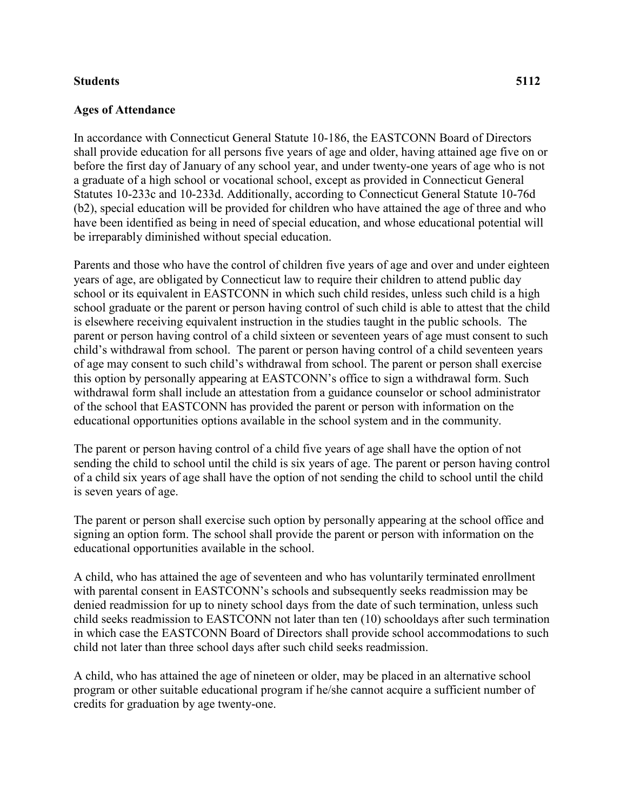## **Students 5112**

## **Ages of Attendance**

In accordance with Connecticut General Statute 10-186, the EASTCONN Board of Directors shall provide education for all persons five years of age and older, having attained age five on or before the first day of January of any school year, and under twenty-one years of age who is not a graduate of a high school or vocational school, except as provided in Connecticut General Statutes 10-233c and 10-233d. Additionally, according to Connecticut General Statute 10-76d (b2), special education will be provided for children who have attained the age of three and who have been identified as being in need of special education, and whose educational potential will be irreparably diminished without special education.

Parents and those who have the control of children five years of age and over and under eighteen years of age, are obligated by Connecticut law to require their children to attend public day school or its equivalent in EASTCONN in which such child resides, unless such child is a high school graduate or the parent or person having control of such child is able to attest that the child is elsewhere receiving equivalent instruction in the studies taught in the public schools. The parent or person having control of a child sixteen or seventeen years of age must consent to such child's withdrawal from school. The parent or person having control of a child seventeen years of age may consent to such child's withdrawal from school. The parent or person shall exercise this option by personally appearing at EASTCONN's office to sign a withdrawal form. Such withdrawal form shall include an attestation from a guidance counselor or school administrator of the school that EASTCONN has provided the parent or person with information on the educational opportunities options available in the school system and in the community.

The parent or person having control of a child five years of age shall have the option of not sending the child to school until the child is six years of age. The parent or person having control of a child six years of age shall have the option of not sending the child to school until the child is seven years of age.

The parent or person shall exercise such option by personally appearing at the school office and signing an option form. The school shall provide the parent or person with information on the educational opportunities available in the school.

A child, who has attained the age of seventeen and who has voluntarily terminated enrollment with parental consent in EASTCONN's schools and subsequently seeks readmission may be denied readmission for up to ninety school days from the date of such termination, unless such child seeks readmission to EASTCONN not later than ten (10) schooldays after such termination in which case the EASTCONN Board of Directors shall provide school accommodations to such child not later than three school days after such child seeks readmission.

A child, who has attained the age of nineteen or older, may be placed in an alternative school program or other suitable educational program if he/she cannot acquire a sufficient number of credits for graduation by age twenty-one.